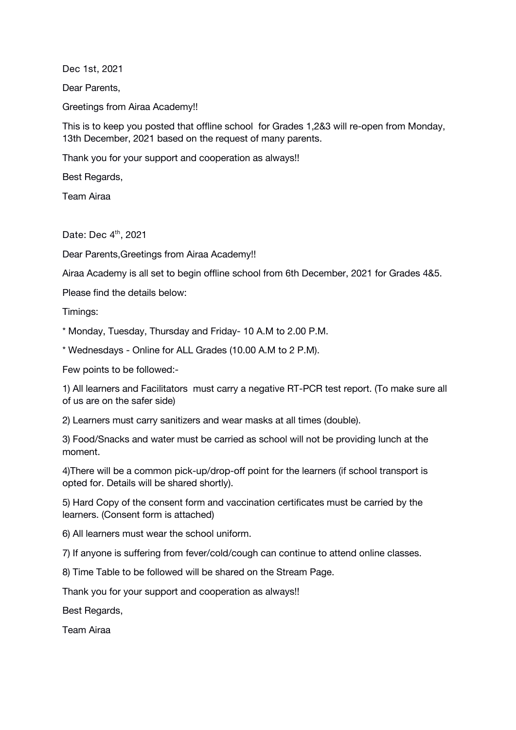**Dec 1st, 2021**

Dear Parents,

Greetings from Airaa Academy!!

This is to keep you posted that offline school for Grades 1,2&3 will re-open from Monday, 13th December, 2021 based on the request of many parents.

Thank you for your support and cooperation as always!!

Best Regards,

Team Airaa

**Date: Dec 4 th , 2021**

Dear Parents,Greetings from Airaa Academy!!

Airaa Academy is all set to begin offline school from 6th December, 2021 for Grades 4&5.

Please find the details below:

Timings:

\* Monday, Tuesday, Thursday and Friday- 10 A.M to 2.00 P.M.

\* Wednesdays - Online for ALL Grades (10.00 A.M to 2 P.M).

Few points to be followed:-

1) All learners and Facilitators must carry a negative RT-PCR test report. (To make sure all of us are on the safer side)

2) Learners must carry sanitizers and wear masks at all times (double).

3) Food/Snacks and water must be carried as school will not be providing lunch at the moment.

4)There will be a common pick-up/drop-off point for the learners (if school transport is opted for. Details will be shared shortly).

5) Hard Copy of the consent form and vaccination certificates must be carried by the learners. (Consent form is attached)

6) All learners must wear the school uniform.

7) If anyone is suffering from fever/cold/cough can continue to attend online classes.

8) Time Table to be followed will be shared on the Stream Page.

Thank you for your support and cooperation as always!!

Best Regards,

Team Airaa